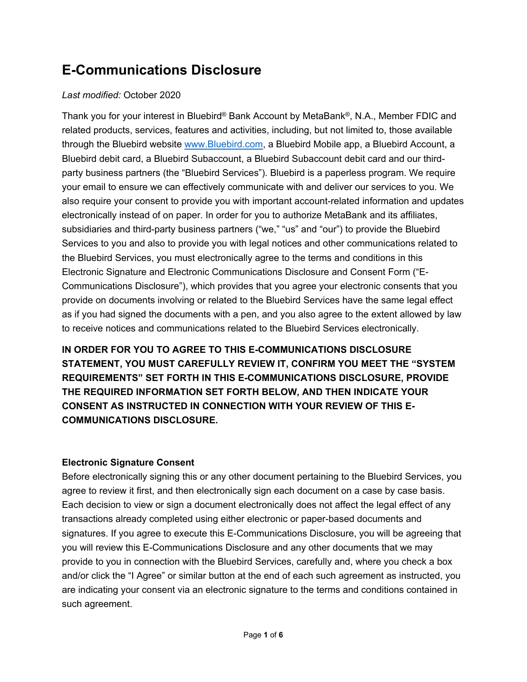# **E-Communications Disclosure**

### *Last modified:* October 2020

Thank you for your interest in Bluebird® Bank Account by MetaBank®, N.A., Member FDIC and related products, services, features and activities, including, but not limited to, those available through the Bluebird website [www.Bluebird.com,](http://www.bluebird.com/) a Bluebird Mobile app, a Bluebird Account, a Bluebird debit card, a Bluebird Subaccount, a Bluebird Subaccount debit card and our thirdparty business partners (the "Bluebird Services"). Bluebird is a paperless program. We require your email to ensure we can effectively communicate with and deliver our services to you. We also require your consent to provide you with important account-related information and updates electronically instead of on paper. In order for you to authorize MetaBank and its affiliates, subsidiaries and third-party business partners ("we," "us" and "our") to provide the Bluebird Services to you and also to provide you with legal notices and other communications related to the Bluebird Services, you must electronically agree to the terms and conditions in this Electronic Signature and Electronic Communications Disclosure and Consent Form ("E-Communications Disclosure"), which provides that you agree your electronic consents that you provide on documents involving or related to the Bluebird Services have the same legal effect as if you had signed the documents with a pen, and you also agree to the extent allowed by law to receive notices and communications related to the Bluebird Services electronically.

**IN ORDER FOR YOU TO AGREE TO THIS E-COMMUNICATIONS DISCLOSURE STATEMENT, YOU MUST CAREFULLY REVIEW IT, CONFIRM YOU MEET THE "SYSTEM REQUIREMENTS" SET FORTH IN THIS E-COMMUNICATIONS DISCLOSURE, PROVIDE THE REQUIRED INFORMATION SET FORTH BELOW, AND THEN INDICATE YOUR CONSENT AS INSTRUCTED IN CONNECTION WITH YOUR REVIEW OF THIS E-COMMUNICATIONS DISCLOSURE.**

## **Electronic Signature Consent**

Before electronically signing this or any other document pertaining to the Bluebird Services, you agree to review it first, and then electronically sign each document on a case by case basis. Each decision to view or sign a document electronically does not affect the legal effect of any transactions already completed using either electronic or paper-based documents and signatures. If you agree to execute this E-Communications Disclosure, you will be agreeing that you will review this E-Communications Disclosure and any other documents that we may provide to you in connection with the Bluebird Services, carefully and, where you check a box and/or click the "I Agree" or similar button at the end of each such agreement as instructed, you are indicating your consent via an electronic signature to the terms and conditions contained in such agreement.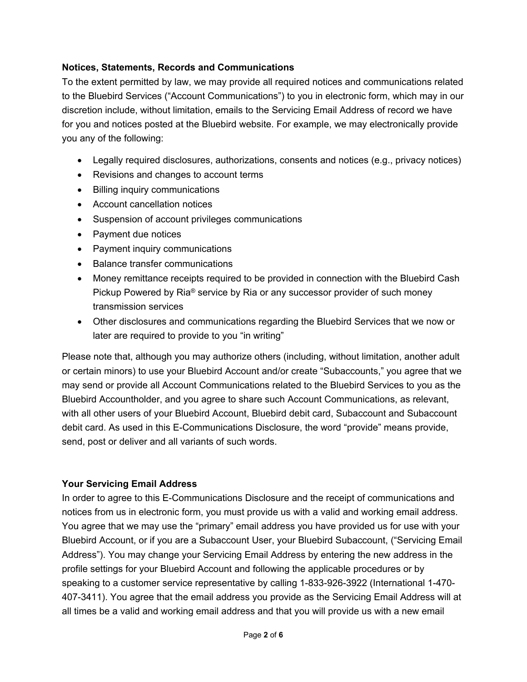#### **Notices, Statements, Records and Communications**

To the extent permitted by law, we may provide all required notices and communications related to the Bluebird Services ("Account Communications") to you in electronic form, which may in our discretion include, without limitation, emails to the Servicing Email Address of record we have for you and notices posted at the Bluebird website. For example, we may electronically provide you any of the following:

- Legally required disclosures, authorizations, consents and notices (e.g., privacy notices)
- Revisions and changes to account terms
- Billing inquiry communications
- Account cancellation notices
- Suspension of account privileges communications
- Payment due notices
- Payment inquiry communications
- Balance transfer communications
- Money remittance receipts required to be provided in connection with the Bluebird Cash Pickup Powered by Ria® service by Ria or any successor provider of such money transmission services
- Other disclosures and communications regarding the Bluebird Services that we now or later are required to provide to you "in writing"

Please note that, although you may authorize others (including, without limitation, another adult or certain minors) to use your Bluebird Account and/or create "Subaccounts," you agree that we may send or provide all Account Communications related to the Bluebird Services to you as the Bluebird Accountholder, and you agree to share such Account Communications, as relevant, with all other users of your Bluebird Account, Bluebird debit card, Subaccount and Subaccount debit card. As used in this E-Communications Disclosure, the word "provide" means provide, send, post or deliver and all variants of such words.

#### **Your Servicing Email Address**

In order to agree to this E-Communications Disclosure and the receipt of communications and notices from us in electronic form, you must provide us with a valid and working email address. You agree that we may use the "primary" email address you have provided us for use with your Bluebird Account, or if you are a Subaccount User, your Bluebird Subaccount, ("Servicing Email Address"). You may change your Servicing Email Address by entering the new address in the profile settings for your Bluebird Account and following the applicable procedures or by speaking to a customer service representative by calling 1-833-926-3922 (International 1-470- 407-3411). You agree that the email address you provide as the Servicing Email Address will at all times be a valid and working email address and that you will provide us with a new email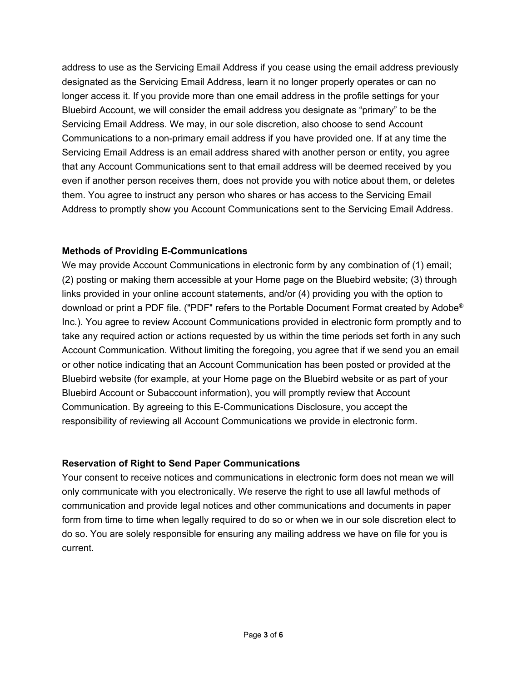address to use as the Servicing Email Address if you cease using the email address previously designated as the Servicing Email Address, learn it no longer properly operates or can no longer access it. If you provide more than one email address in the profile settings for your Bluebird Account, we will consider the email address you designate as "primary" to be the Servicing Email Address. We may, in our sole discretion, also choose to send Account Communications to a non-primary email address if you have provided one. If at any time the Servicing Email Address is an email address shared with another person or entity, you agree that any Account Communications sent to that email address will be deemed received by you even if another person receives them, does not provide you with notice about them, or deletes them. You agree to instruct any person who shares or has access to the Servicing Email Address to promptly show you Account Communications sent to the Servicing Email Address.

#### **Methods of Providing E-Communications**

We may provide Account Communications in electronic form by any combination of (1) email; (2) posting or making them accessible at your Home page on the Bluebird website; (3) through links provided in your online account statements, and/or (4) providing you with the option to download or print a PDF file. ("PDF" refers to the Portable Document Format created by Adobe® Inc.). You agree to review Account Communications provided in electronic form promptly and to take any required action or actions requested by us within the time periods set forth in any such Account Communication. Without limiting the foregoing, you agree that if we send you an email or other notice indicating that an Account Communication has been posted or provided at the Bluebird website (for example, at your Home page on the Bluebird website or as part of your Bluebird Account or Subaccount information), you will promptly review that Account Communication. By agreeing to this E-Communications Disclosure, you accept the responsibility of reviewing all Account Communications we provide in electronic form.

#### **Reservation of Right to Send Paper Communications**

Your consent to receive notices and communications in electronic form does not mean we will only communicate with you electronically. We reserve the right to use all lawful methods of communication and provide legal notices and other communications and documents in paper form from time to time when legally required to do so or when we in our sole discretion elect to do so. You are solely responsible for ensuring any mailing address we have on file for you is current.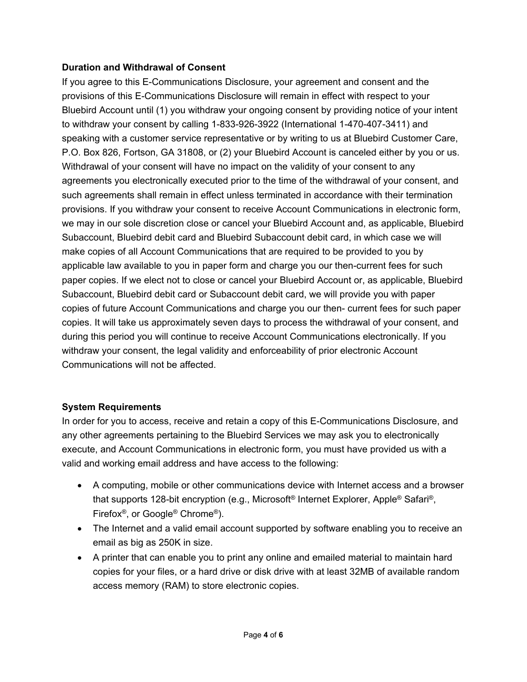#### **Duration and Withdrawal of Consent**

If you agree to this E-Communications Disclosure, your agreement and consent and the provisions of this E-Communications Disclosure will remain in effect with respect to your Bluebird Account until (1) you withdraw your ongoing consent by providing notice of your intent to withdraw your consent by calling 1-833-926-3922 (International 1-470-407-3411) and speaking with a customer service representative or by writing to us at Bluebird Customer Care, P.O. Box 826, Fortson, GA 31808, or (2) your Bluebird Account is canceled either by you or us. Withdrawal of your consent will have no impact on the validity of your consent to any agreements you electronically executed prior to the time of the withdrawal of your consent, and such agreements shall remain in effect unless terminated in accordance with their termination provisions. If you withdraw your consent to receive Account Communications in electronic form, we may in our sole discretion close or cancel your Bluebird Account and, as applicable, Bluebird Subaccount, Bluebird debit card and Bluebird Subaccount debit card, in which case we will make copies of all Account Communications that are required to be provided to you by applicable law available to you in paper form and charge you our then-current fees for such paper copies. If we elect not to close or cancel your Bluebird Account or, as applicable, Bluebird Subaccount, Bluebird debit card or Subaccount debit card, we will provide you with paper copies of future Account Communications and charge you our then- current fees for such paper copies. It will take us approximately seven days to process the withdrawal of your consent, and during this period you will continue to receive Account Communications electronically. If you withdraw your consent, the legal validity and enforceability of prior electronic Account Communications will not be affected.

#### **System Requirements**

In order for you to access, receive and retain a copy of this E-Communications Disclosure, and any other agreements pertaining to the Bluebird Services we may ask you to electronically execute, and Account Communications in electronic form, you must have provided us with a valid and working email address and have access to the following:

- A computing, mobile or other communications device with Internet access and a browser that supports 128-bit encryption (e.g., Microsoft® Internet Explorer, Apple® Safari®, Firefox®, or Google® Chrome®).
- The Internet and a valid email account supported by software enabling you to receive an email as big as 250K in size.
- A printer that can enable you to print any online and emailed material to maintain hard copies for your files, or a hard drive or disk drive with at least 32MB of available random access memory (RAM) to store electronic copies.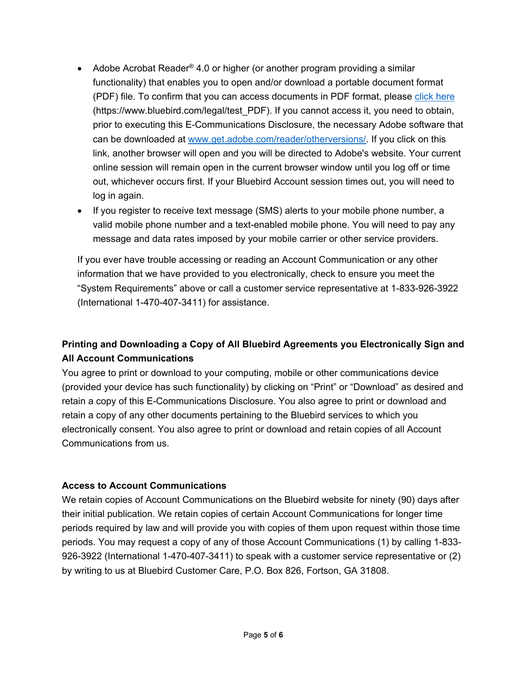- Adobe Acrobat Reader<sup>®</sup> 4.0 or higher (or another program providing a similar functionality) that enables you to open and/or download a portable document format (PDF) file. To confirm that you can access documents in PDF format, please [click here](https://spcrmportal/sites/PartnerServices/Portal%20Collateral/BlueBird%20DDA_Consent%20Statement_1AFD3BEF4436EA11910500155D06F7C2/bluebird.com/legal/test_PDF) (https://www.bluebird.com/legal/test\_PDF). If you cannot access it, you need to obtain, prior to executing this E-Communications Disclosure, the necessary Adobe software that can be downloaded at [www.get.adobe.com/reader/otherversions/.](http://www.get.adobe.com/reader/otherversions/) If you click on this link, another browser will open and you will be directed to Adobe's website. Your current online session will remain open in the current browser window until you log off or time out, whichever occurs first. If your Bluebird Account session times out, you will need to log in again.
- If you register to receive text message (SMS) alerts to your mobile phone number, a valid mobile phone number and a text-enabled mobile phone. You will need to pay any message and data rates imposed by your mobile carrier or other service providers.

If you ever have trouble accessing or reading an Account Communication or any other information that we have provided to you electronically, check to ensure you meet the "System Requirements" above or call a customer service representative at 1-833-926-3922 (International 1-470-407-3411) for assistance.

# **Printing and Downloading a Copy of All Bluebird Agreements you Electronically Sign and All Account Communications**

You agree to print or download to your computing, mobile or other communications device (provided your device has such functionality) by clicking on "Print" or "Download" as desired and retain a copy of this E-Communications Disclosure. You also agree to print or download and retain a copy of any other documents pertaining to the Bluebird services to which you electronically consent. You also agree to print or download and retain copies of all Account Communications from us.

#### **Access to Account Communications**

We retain copies of Account Communications on the Bluebird website for ninety (90) days after their initial publication. We retain copies of certain Account Communications for longer time periods required by law and will provide you with copies of them upon request within those time periods. You may request a copy of any of those Account Communications (1) by calling 1-833- 926-3922 (International 1-470-407-3411) to speak with a customer service representative or (2) by writing to us at Bluebird Customer Care, P.O. Box 826, Fortson, GA 31808.